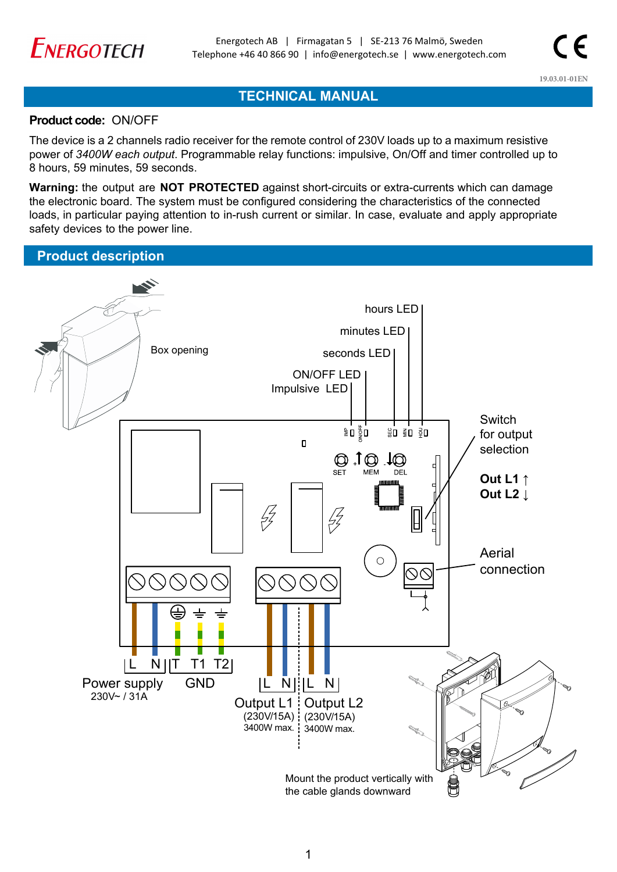

# **TECHNICAL MANUAL**

### Product code: ON/OFF

The device is a 2 channels radio receiver for the remote control of 230V loads up to a maximum resistive power of *3400W each output*. Programmable relay functions: impulsive, On/Off and timer controlled up to 8 hours, 59 minutes, 59 seconds.

**Warning:** the output are **NOT PROTECTED** against short-circuits or extra-currents which can damage the electronic board. The system must be configured considering the characteristics of the connected loads, in particular paying attention to in-rush current or similar. In case, evaluate and apply appropriate safety devices to the power line.

## **Product description**

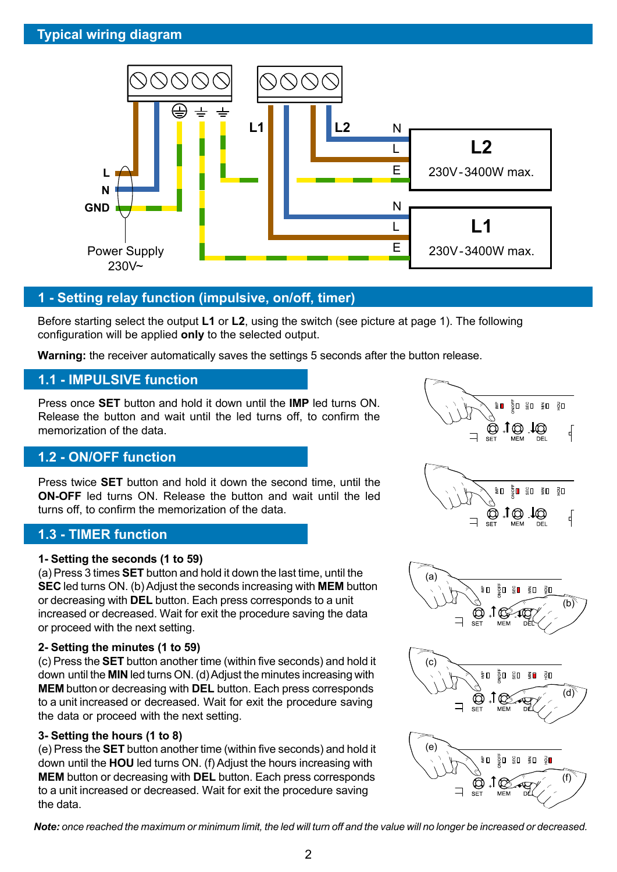

## **1 - Setting relay function (impulsive, on/off, timer)**

Before starting select the output **L1** or **L2**, using the switch (see picture at page 1). The following configuration will be applied **only** to the selected output.

**Warning:** the receiver automatically saves the settings 5 seconds after the button release.

## **1.1 - IMPULSIVE function**

Press once **SET** button and hold it down until the **IMP** led turns ON. Release the button and wait until the led turns off, to confirm the memorization of the data.

# **1.2 - ON/OFF function**

Press twice **SET** button and hold it down the second time, until the **ON-OFF** led turns ON. Release the button and wait until the led turns off, to confirm the memorization of the data.

## **1.3 - TIMER function**

#### **1- Setting the seconds (1 to 59)**

(a) Press 3 times **SET** button and hold it down the last time, until the **SEC** led turns ON. (b) Adjust the seconds increasing with **MEM** button or decreasing with **DEL** button. Each press corresponds to a unit increased or decreased. Wait for exit the procedure saving the data or proceed with the next setting.

### **2- Setting the minutes (1 to 59)**

(c) Press the **SET** button another time (within five seconds) and hold it down until the **MIN** led turns ON. (d) Adjust the minutes increasing with **MEM** button or decreasing with **DEL** button. Each press corresponds to a unit increased or decreased. Wait for exit the procedure saving the data or proceed with the next setting.

## **3- Setting the hours (1 to 8)**

(e) Press the **SET** button another time (within five seconds) and hold it down until the **HOU** led turns ON. (f) Adjust the hours increasing with **MEM** button or decreasing with **DEL** button. Each press corresponds to a unit increased or decreased. Wait for exit the procedure saving the data.

 $\overline{2}$  **D**  $\overline{5}$  **D**  $\overline{5}$  **D**  $\overline{2}$  **D**  $\bigcirc$  1.  $\frac{1}{2}$ έΩ ğΠ.  $\frac{10}{50}$  0  $\frac{20}{50}$  $\Box$  to to Q √ **SET MEM** (a) ₹Ω  $\mathbb{R}$   $\equiv$  0 (b)





*Note: once reached the maximum or minimum limit, the led will turn off and the value will no longer be increased or decreased.*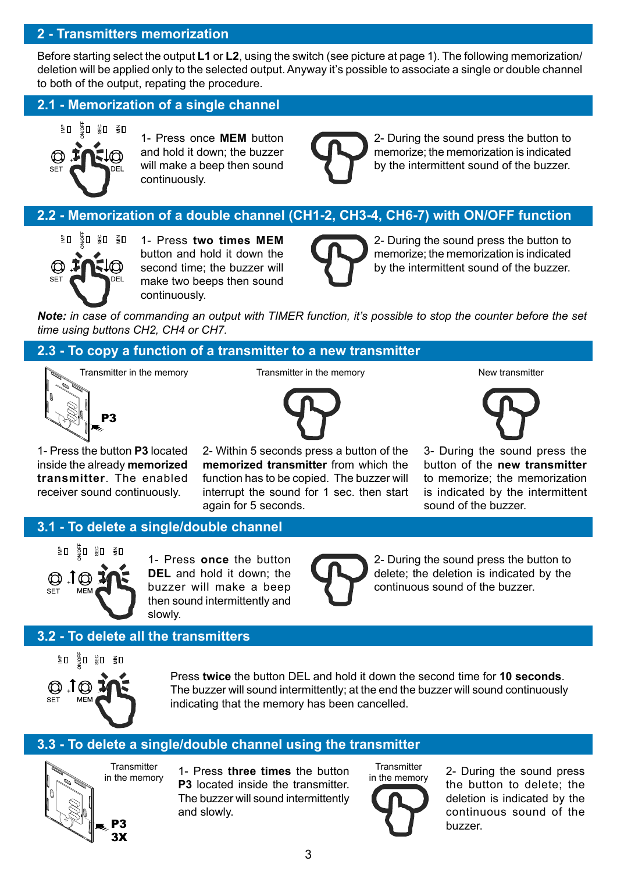## **2 - Transmitters memorization**

Before starting select the output **L1** or **L2**, using the switch (see picture at page 1). The following memorization/ deletion will be applied only to the selected output. Anyway it's possible to associate a single or double channel to both of the output, repating the procedure.

## **2.1 - Memorization of a single channel**



1- Press once **MEM** button and hold it down; the buzzer will make a beep then sound continuously.



2- During the sound press the button to memorize; the memorization is indicated by the intermittent sound of the buzzer.

# **2.2 - Memorization of a double channel (CH1-2, CH3-4, CH6-7) with ON/OFF function**



1- Press **two times MEM** button and hold it down the second time; the buzzer will make two beeps then sound continuously.



2- During the sound press the button to memorize; the memorization is indicated by the intermittent sound of the buzzer.

*Note: in case of commanding an output with TIMER function, it's possible to stop the counter before the set time using buttons CH2, CH4 or CH7.*

## **2.3 - To copy a function of a transmitter to a new transmitter**

Transmitter in the memory **New transmitter in** the memory **New transmitter** in the memory



1- Press the button **P3** located inside the already **memorized transmitter**. The enabled receiver sound continuously.

P3

2- Within 5 seconds press a button of the **memorized transmitter** from which the function has to be copied. The buzzer will interrupt the sound for 1 sec. then start again for 5 seconds.



3- During the sound press the button of the **new transmitter** to memorize; the memorization is indicated by the intermittent sound of the buzzer.

## **3.1 - To delete a single/double channel**



1- Press **once** the button **DEL** and hold it down; the buzzer will make a beep then sound intermittently and slowly.



2- During the sound press the button to delete; the deletion is indicated by the continuous sound of the buzzer.

# **3.2 - To delete all the transmitters**



Press **twice** the button DEL and hold it down the second time for **10 seconds**. The buzzer will sound intermittently; at the end the buzzer will sound continuously indicating that the memory has been cancelled.

## **3.3 - To delete a single/double channel using the transmitter**



1- Press **three times** the button **P3** located inside the transmitter. The buzzer will sound intermittently and slowly.

**Transmitter** in the memory

2- During the sound press the button to delete; the deletion is indicated by the continuous sound of the buzzer.